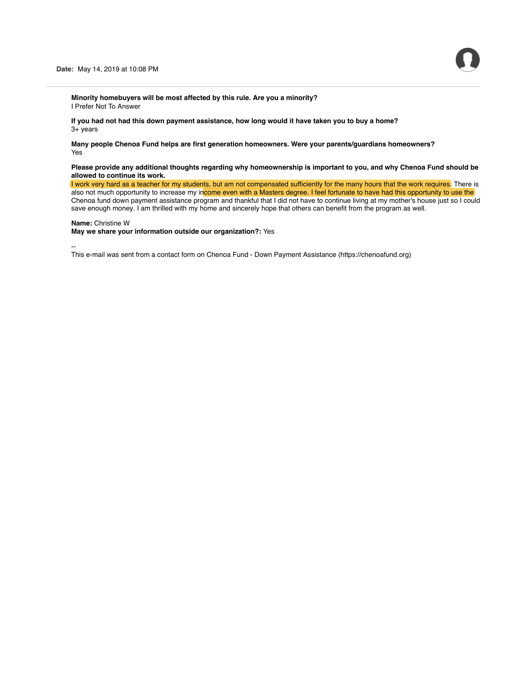**Minority homebuyers will be most affected by this rule. Are you a minority?** I Prefer Not To Answer

**If you had not had this down payment assistance, how long would it have taken you to buy a home?** 3+ years

**Many people Chenoa Fund helps are first generation homeowners. Were your parents/guardians homeowners?** Yes

## **Please provide any additional thoughts regarding why homeownership is important to you, and why Chenoa Fund should be allowed to continue its work.**

I work very hard as a teacher for my students, but am not compensated sufficiently for the many hours that the work requires. There is also not much opportunity to increase my income even with a Masters degree. I feel fortunate to have had this opportunity to use the Chenoa fund down payment assistance program and thankful that I did not have to continue living at my mother's house just so I could save enough money. I am thrilled with my home and sincerely hope that others can benefit from the program as well.

# **Name:** Christine W

### **May we share your information outside our organization?:** Yes

--

This e-mail was sent from a contact form on Chenoa Fund - Down Payment Assistance (https://chenoafund.org)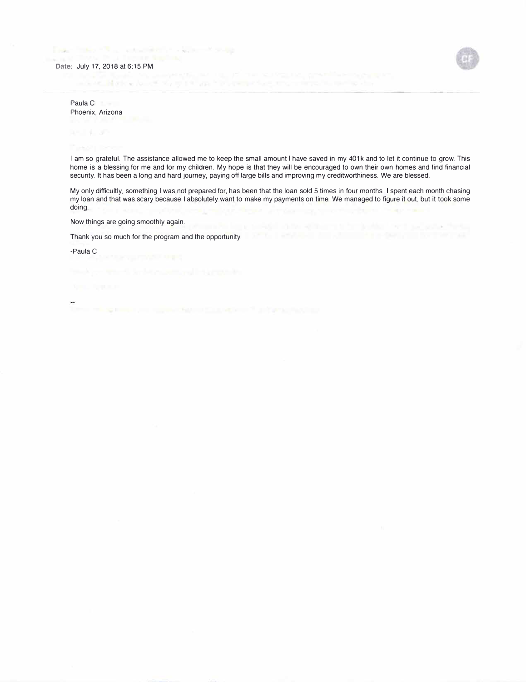### **Date:** July 17, 2018 at 6:15 PM



Controlled Market

Mark of the pine

Paula C Phoenix, Arizona

I am so grateful. The assistance allowed me to keep the small amount I have saved in my 401k and to let it continue to grow. This home is a blessing for me and for my children. My hope is that they will be encouraged to own their own homes and find financial security. It has been a long and hard journey, paying off large bills and improving my creditworthiness. We are blessed.

My only difficultly, something I was not prepared for, has been that the loan sold 5 times in four months. I spent each month chasing my loan and that was scary because I absolutely want to make my payments on time. We managed to figure it out, but it took some doing.

Now things are going smoothly again.

Thank you so much for the program and the opportunity.

-Paula C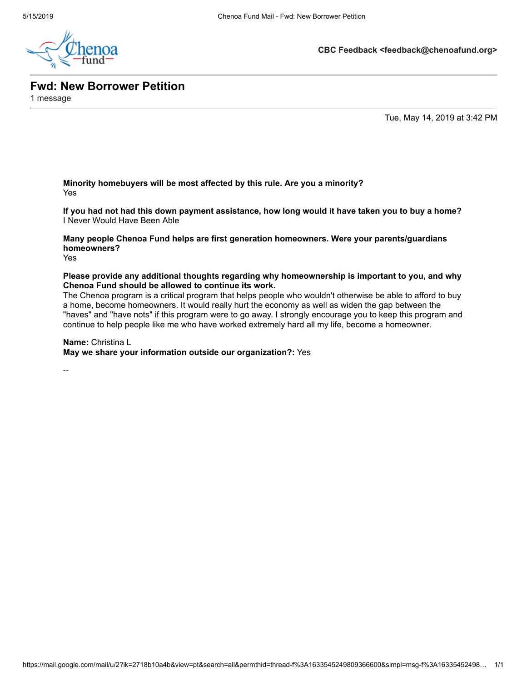

**CBC Feedback <feedback@chenoafund.org>**

**Fwd: New Borrower Petition**

1 message

Tue, May 14, 2019 at 3:42 PM

**Minority homebuyers will be most affected by this rule. Are you a minority?** Yes

**If you had not had this down payment assistance, how long would it have taken you to buy a home?** I Never Would Have Been Able

**Many people Chenoa Fund helps are first generation homeowners. Were your parents/guardians homeowners?**

Yes

**Please provide any additional thoughts regarding why homeownership is important to you, and why Chenoa Fund should be allowed to continue its work.**

The Chenoa program is a critical program that helps people who wouldn't otherwise be able to afford to buy a home, become homeowners. It would really hurt the economy as well as widen the gap between the "haves" and "have nots" if this program were to go away. I strongly encourage you to keep this program and continue to help people like me who have worked extremely hard all my life, become a homeowner.

**Name:** Christina L

**May we share your information outside our organization?:** Yes

--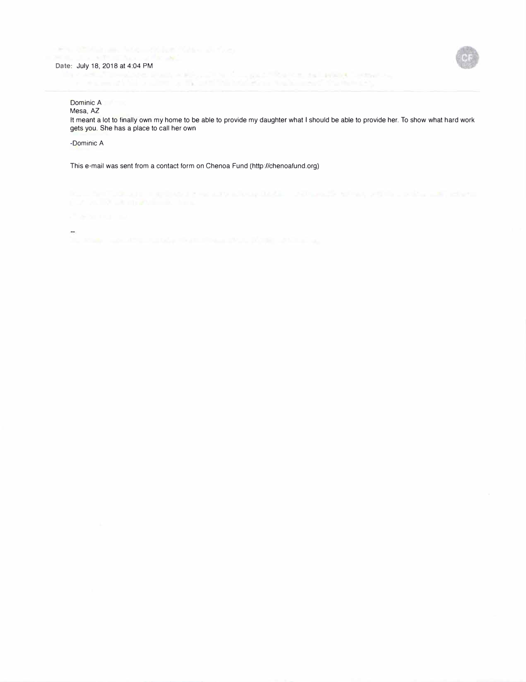was completely that a suffered by the me-



Dominic A Mesa, AZ

It meant a lot to finally own my home to be able to provide my daughter what I should be able to provide her. To show what hard work gets you. She has a place to call her own

controlled the control of the control of

-Dominic A

This e-mail was sent from a contact form on Chenoa Fund (http://chenoafund.org)

 $\sim$